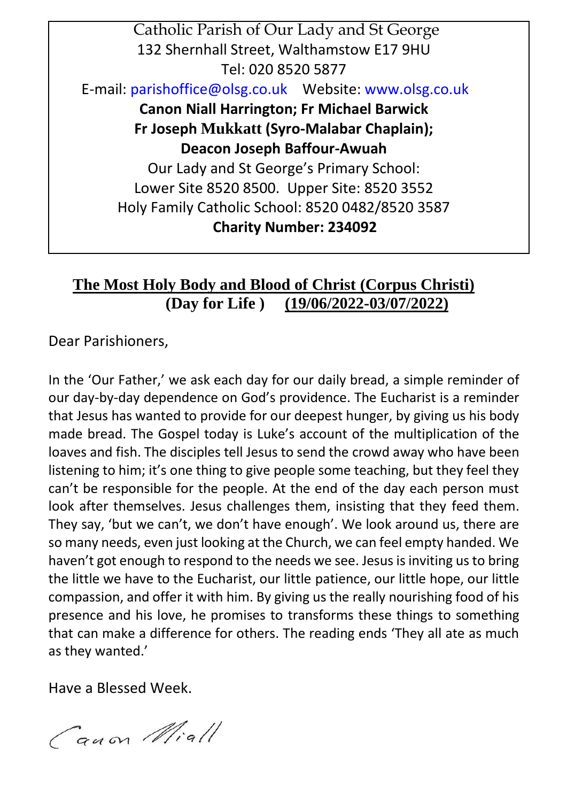

# **The Most Holy Body and Blood of Christ (Corpus Christi) (Day for Life ) (19/06/2022-03/07/2022)**

Dear Parishioners,

In the 'Our Father,' we ask each day for our daily bread, a simple reminder of our day-by-day dependence on God's providence. The Eucharist is a reminder that Jesus has wanted to provide for our deepest hunger, by giving us his body made bread. The Gospel today is Luke's account of the multiplication of the loaves and fish. The disciples tell Jesus to send the crowd away who have been listening to him; it's one thing to give people some teaching, but they feel they can't be responsible for the people. At the end of the day each person must look after themselves. Jesus challenges them, insisting that they feed them. They say, 'but we can't, we don't have enough'. We look around us, there are so many needs, even just looking at the Church, we can feel empty handed. We haven't got enough to respond to the needs we see. Jesus is inviting us to bring the little we have to the Eucharist, our little patience, our little hope, our little compassion, and offer it with him. By giving us the really nourishing food of his presence and his love, he promises to transforms these things to something that can make a difference for others. The reading ends 'They all ate as much as they wanted.'

Have a Blessed Week.

Canon Miall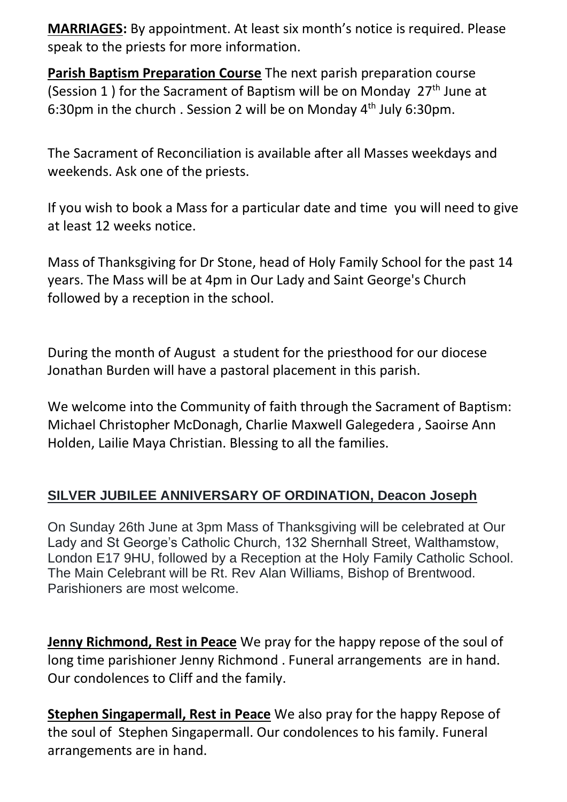**MARRIAGES:** By appointment. At least six month's notice is required. Please speak to the priests for more information.

**Parish Baptism Preparation Course** The next parish preparation course (Session 1) for the Sacrament of Baptism will be on Monday  $27<sup>th</sup>$  June at 6:30pm in the church . Session 2 will be on Monday  $4<sup>th</sup>$  July 6:30pm.

The Sacrament of Reconciliation is available after all Masses weekdays and weekends. Ask one of the priests.

If you wish to book a Mass for a particular date and time you will need to give at least 12 weeks notice.

Mass of Thanksgiving for Dr Stone, head of Holy Family School for the past 14 years. The Mass will be at 4pm in Our Lady and Saint George's Church followed by a reception in the school.

During the month of August a student for the priesthood for our diocese Jonathan Burden will have a pastoral placement in this parish.

We welcome into the Community of faith through the Sacrament of Baptism: Michael Christopher McDonagh, Charlie Maxwell Galegedera , Saoirse Ann Holden, Lailie Maya Christian. Blessing to all the families.

## **SILVER JUBILEE ANNIVERSARY OF ORDINATION, Deacon Joseph**

On Sunday 26th June at 3pm Mass of Thanksgiving will be celebrated at Our Lady and St George's Catholic Church, 132 Shernhall Street, Walthamstow, London E17 9HU, followed by a Reception at the Holy Family Catholic School. The Main Celebrant will be Rt. Rev Alan Williams, Bishop of Brentwood. Parishioners are most welcome.

**Jenny Richmond, Rest in Peace** We pray for the happy repose of the soul of long time parishioner Jenny Richmond . Funeral arrangements are in hand. Our condolences to Cliff and the family.

**Stephen Singapermall, Rest in Peace** We also pray for the happy Repose of the soul of Stephen Singapermall. Our condolences to his family. Funeral arrangements are in hand.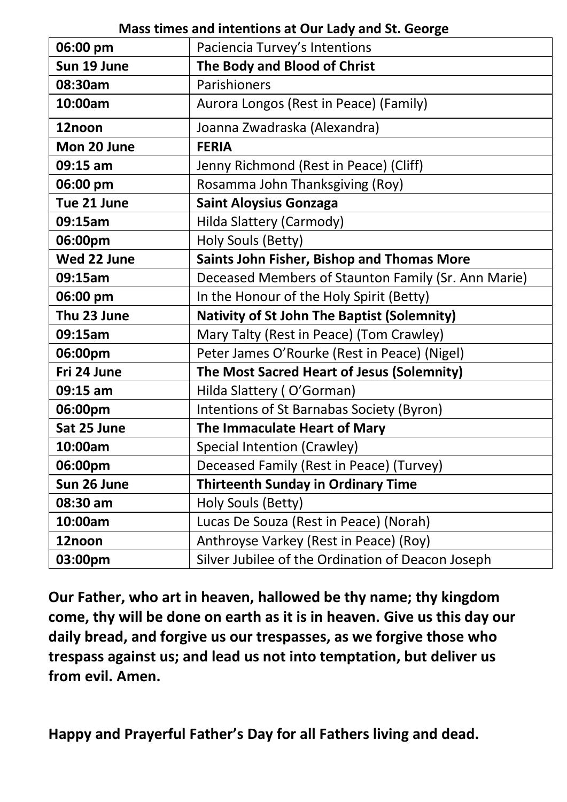### **Mass times and intentions at Our Lady and St. George**

| 06:00 pm    | Paciencia Turvey's Intentions                       |
|-------------|-----------------------------------------------------|
| Sun 19 June | The Body and Blood of Christ                        |
| 08:30am     | Parishioners                                        |
| 10:00am     | Aurora Longos (Rest in Peace) (Family)              |
| 12noon      | Joanna Zwadraska (Alexandra)                        |
| Mon 20 June | <b>FERIA</b>                                        |
| 09:15 am    | Jenny Richmond (Rest in Peace) (Cliff)              |
| 06:00 pm    | Rosamma John Thanksgiving (Roy)                     |
| Tue 21 June | <b>Saint Aloysius Gonzaga</b>                       |
| 09:15am     | Hilda Slattery (Carmody)                            |
| 06:00pm     | Holy Souls (Betty)                                  |
| Wed 22 June | Saints John Fisher, Bishop and Thomas More          |
| 09:15am     | Deceased Members of Staunton Family (Sr. Ann Marie) |
| 06:00 pm    | In the Honour of the Holy Spirit (Betty)            |
| Thu 23 June | <b>Nativity of St John The Baptist (Solemnity)</b>  |
| 09:15am     | Mary Talty (Rest in Peace) (Tom Crawley)            |
| 06:00pm     | Peter James O'Rourke (Rest in Peace) (Nigel)        |
| Fri 24 June | The Most Sacred Heart of Jesus (Solemnity)          |
| 09:15 am    | Hilda Slattery (O'Gorman)                           |
| 06:00pm     | Intentions of St Barnabas Society (Byron)           |
| Sat 25 June | The Immaculate Heart of Mary                        |
| 10:00am     | Special Intention (Crawley)                         |
| 06:00pm     | Deceased Family (Rest in Peace) (Turvey)            |
| Sun 26 June | <b>Thirteenth Sunday in Ordinary Time</b>           |
| 08:30 am    | Holy Souls (Betty)                                  |
| 10:00am     | Lucas De Souza (Rest in Peace) (Norah)              |
| 12noon      | Anthroyse Varkey (Rest in Peace) (Roy)              |
| 03:00pm     | Silver Jubilee of the Ordination of Deacon Joseph   |

**Our Father, who art in heaven, hallowed be thy name; thy kingdom come, thy will be done on earth as it is in heaven. Give us this day our daily bread, and forgive us our trespasses, as we forgive those who trespass against us; and lead us not into temptation, but deliver us from evil. Amen.** 

**Happy and Prayerful Father's Day for all Fathers living and dead.**